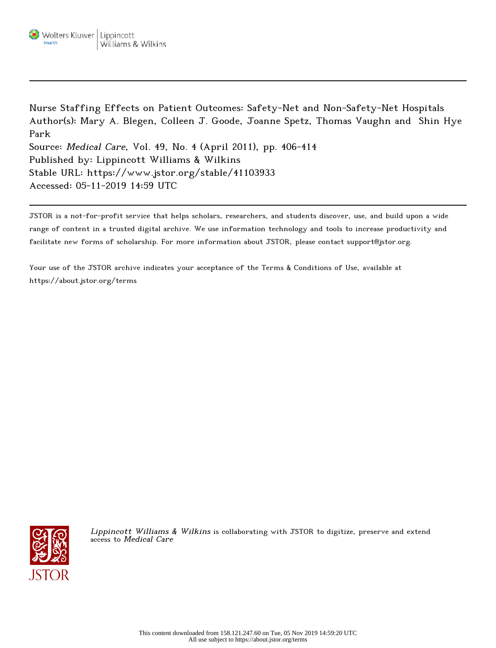Nurse Staffing Effects on Patient Outcomes: Safety-Net and Non-Safety-Net Hospitals Author(s): Mary A. Blegen, Colleen J. Goode, Joanne Spetz, Thomas Vaughn and Shin Hye Park Source: Medical Care, Vol. 49, No. 4 (April 2011), pp. 406-414 Published by: Lippincott Williams & Wilkins Stable URL: https://www.jstor.org/stable/41103933 Accessed: 05-11-2019 14:59 UTC

JSTOR is a not-for-profit service that helps scholars, researchers, and students discover, use, and build upon a wide range of content in a trusted digital archive. We use information technology and tools to increase productivity and facilitate new forms of scholarship. For more information about JSTOR, please contact support@jstor.org.

Your use of the JSTOR archive indicates your acceptance of the Terms & Conditions of Use, available at https://about.jstor.org/terms



Lippincott Williams & Wilkins is collaborating with JSTOR to digitize, preserve and extend access to Medical Care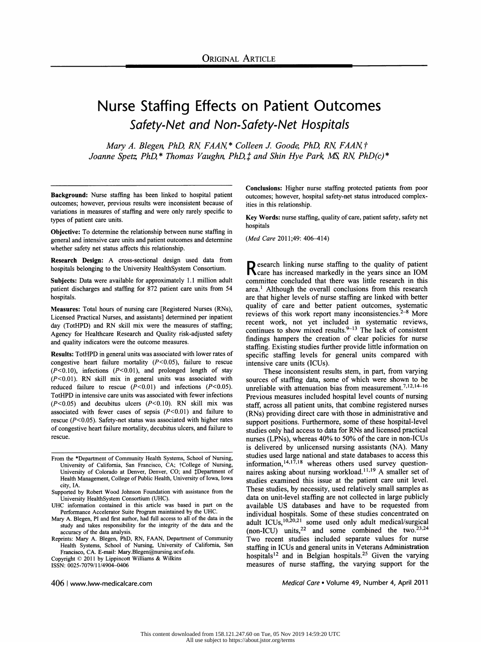# ORIGINAL ARTICLE<br>
Nurse Staffing Effects on Patient Outcomes<br>
Safety-Net and Non-Safety-Net Hospitals ORIGINAL ARTICLE<br>
Staffing Effects on Patient Outcomes<br>
Safety-Net and Non-Safety-Net Hospitals<br>
A. Blegen, PhD, RN, FAAN,\* Colleen J. Goode, PhD, RN, FAAN,† Safety-Net and Non-Safety-Net Hospitals<br>Mary A. Blegen, PhD, RN, FAAN,\* Colleen J. Goode, PhD, RN, FAAN,†<br>Joanne Spetz, PhD,\* Thomas Vaughn, PhD,‡ and Shin Hye Park, MS, RN, PhD(c)\* **IUITSE Staffing Effects on Patient Outcomes**<br>Safety-Net and Non-Safety-Net Hospitals<br>Mary A. Blegen, PhD, RN, FAAN,\* Colleen J. Goode, PhD, RN, FAAN,†<br>ne Spetz, PhD,\* Thomas Vaughn, PhD,‡ and Shin Hye Park, MS, RN, PhD(c)

ities in this relationship.

Background: Nurse staffing has been linked to hospital patient<br>outcomes; however, previous results were inconsistent because of<br>the six of the staffing to the staffing in this relationship. **Example 19 Conclusions:** Higher nurse staffing protected patients from poor<br>
outcomes; however, hospital safety-net status introduced complex-<br>
outcomes; however, hospital safety-net status introduced complex-<br>
variations **Example 19 Conclusions:** Higher nurse staffing protected patients from poor<br>
variations in measures of staffing and were inconsistent because of<br>
variations in measures of staffing and were only rarely specific to<br>
variat **EXECUTE CONCLUSIONS:** Higher nurse starting protected patients from poor<br>outcomes; however, previous results were inconsistent because of<br>variations, however, hospital safety-net status introduced complex-<br>variations in m

hospitals.

 Measures: Total hours of nursing care [Registered Nurses (RNs), Licensed Practical Nurses, and assistants] determined per inpatient day (TotHPD) and RN skill mix were the measures of staffing; Agency for Healthcare Research and Quality risk-adjusted safety and quality indicators were the outcome measures.

 Results: TotHPD in general units was associated with lower rates of congestive heart failure mortality  $(P<0.05)$ , failure to rescue  $(P<0.10)$ , infections  $(P<0.01)$ , and prolonged length of stay  $(P<0.01)$ . RN skill mix in general units was associated with reduced failure to rescue  $(P<0.01)$  and infections  $(P<0.05)$ . TotHPD in intensive care units was associated with fewer infections  $(P<0.05)$  and decubitus ulcers  $(P<0.10)$ . RN skill mix was associated with fewer cases of sepsis  $(P<0.01)$  and failure to rescue ( $P$ <0.05). Safety-net status was associated with higher rates of congestive heart failure mortality, decubitus ulcers, and failure to rescue.

Copyright © 2011 by Lippincott Williams & Wilkins

ISSN: 0025-7079/11/4904-0406

outcomes; however, previous results were inconsistent because of<br>variations in measures of staffing and were only rarely specific to<br>types of patient care units.<br>**Objective:** To determine the relationship between nurse sta variations in measures of staffing and were only rarely specific to<br>types of patient care units.<br>**Objective:** To determine the relationship between nurse staffing in<br>general and intensive care units and patient outcomes an types of patient care units.<br> **Chicago Chick Contains the example in the relationship between nurse staffing in**<br>
general and intensive care units and patient outcomes and determine (*Med Care* 2011;49: 406–414)<br>
whether s Research Design: A cross-sectional design used data from<br>
Research Design: A cross-sectional design used data from<br>
Research Design: A cross-sectional design used data from<br>
Research Design: A cross-sectional design used d Key Words: nurse staffing, quality of care, patient safety, safety net hospitals (Med Care 2011;49: 406-414)

 Conclusions: Higher nurse staffing protected patients from poor outcomes; however, hospital safety-net status introduced complex-

general and intensive care units and patient outcomes and determine (Med Care 2011;49: 406–414)<br>whether safety net status affects this relationship.<br>**Research Design:** A cross-sectional design used data from<br>hospitals belo whether safety net status affects this relationship.<br> **Research Design:** A cross-sectional design used data from<br>
hospitals belonging to the University HealthSystem Consortium.<br> **Subjects:** Data were available for approxim **Research Design:** A cross-sectional design used data from<br>hospitals belonging to the University HealthSystem Consortium.<br>**Subjects:** Data were available for approximately 1.1 million adult<br>patient discharges and staffing Research linking nurse staffing to the quality of patient Care has increased markedly in the years since an IOM committee concluded that there was little research in this area.1 Although the overall conclusions from this research are that higher levels of nurse staffing are linked with better quality of care and better patient outcomes, systematic reviews of this work report many inconsistencies. $2^{-8}$  More recent work, not yet included in systematic reviews, continues to show mixed results. $9-13$  The lack of consistent findings hampers the creation of clear policies for nurse staffing. Existing studies further provide little information on specific staffing levels for general units compared with intensive care units (ICUs).

> These inconsistent results stem, in part, from varying sources of staffing data, some of which were shown to be unreliable with attenuation bias from measurement.<sup>7,12,14-16</sup> Previous measures included hospital level counts of nursing staff, across all patient units, that combine registered nurses (RNs) providing direct care with those in administrative and support positions. Furthermore, some of these hospital-level studies only had access to data for RNs and licensed practical nurses (LPNs), whereas 40% to 50% of the care in non-ICUs is delivered by unlicensed nursing assistants (NA). Many studies used large national and state databases to access this information,14'17'18 whereas others used survey question naires asking about nursing workload.<sup>11,19</sup> A smaller set of studies examined this issue at the patient care unit level. These studies, by necessity, used relatively small samples as data on unit-level staffing are not collected in large publicly available US databases and have to be requested from individual hospitals. Some of these studies concentrated on adult ICUs,<sup>10,20,21</sup> some used only adult medical/surgical  $(non-ICU)$  units,<sup>22</sup> and some combined the two.<sup>23,24</sup> Two recent studies included separate values for nurse staffing in ICUs and general units in Veterans Administration hospitals<sup>12</sup> and in Belgian hospitals.<sup>25</sup> Given the varying measures of nurse staffing, the varying support for the

406 I vvww.lww-medicalcare.com Medical Care • Volume 49, Number 4, April 201 1

From the \*Department of Community Health Systems, School of Nursing, University of California, San Francisco, CA; †College of Nursing, University of Colorado at Denver, Denver, CO; and #Department of Health Management, College of Public Health, University of Iowa, Iowa city, IA.

Supported by Robert Wood Johnson Foundation with assistance from the University HealthSystem Consortium (UHC).

UHC information contained in this article was based in part on the Performance Accelerator Suite Program maintained by the UHC.

Mary A. Biegen, PI and first author, had full access to all of the data in the study and takes responsibility for the integrity of the data and the accuracy of the data analysis. accuracy of the data analysis

Reprints: Mary A. Biegen, PhD, RN, FAAN, Department of Community Health Systems, School of Nursing, University of California, San Francisco, CA. E-mail: Mary.Blegen@nursing.ucsf.edu.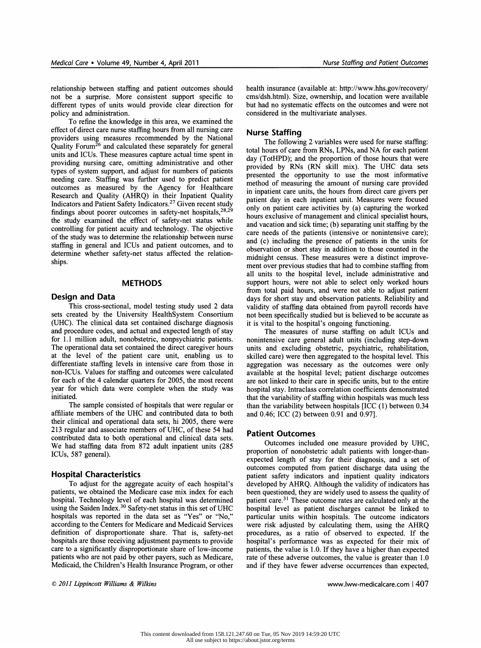relationship between staffing and patient outcomes should not be a surprise. More consistent support specific to not be a surprise. More consistent support specific to cms/dsh.html). Size, ownership, and location were available different types of units would provide clear direction for but had no systematic effects on the outcomes and were not different types of units would provide clear direction for policy and administration.

 To refine the knowledge in this area, we examined the effect of direct care nurse staffing hours from all nursing care providers using measures recommended by the National Quality Forum<sup>26</sup> and calculated these separately for general units and ICUs. These measures capture actual time spent in providing nursing care, omitting administrative and other types of system support, and adjust for numbers of patients needing care. Staffing was further used to predict patient outcomes as measured by the Agency for Healthcare Research and Quality (AHRQ) in their Inpatient Quality Indicators and Patient Safety Indicators.<sup>27</sup> Given recent study<br>only on patient care activities by (a) capturing the worked findings about poorer outcomes in safety-net hospitals,  $28,29$  only on patient care activities by (a) capturing the work the study examined the effect of safety-net status while controlling for patient acuity and technology. The objective of the study was to determine the relationship between nurse staffing in general and ICUs and patient outcomes, and to determine whether safety-net status affected the relation ships.

# **METHODS**

# Design and Data

 This cross-sectional, model testing study used 2 data sets created by the University HealthSystem Consortium (UHC). The clinical data set contained discharge diagnosis and procedure codes, and actual and expected length of stay for 1.1 million adult, nonobstetric, nonpsychiatric patients. The operational data set contained the direct caregiver hours at the level of the patient care unit, enabling us to differentiate staffing levels in intensive care from those in non-ICUs. Values for staffing and outcomes were calculated for each of the 4 calendar quarters for 2005, the most recent year for which data were complete when the study was initiated.

 The sample consisted of hospitals that were regular or affiliate members of the UHC and contributed data to both their clinical and operational data sets, hi 2005, there were 213 regular and associate members of UHC, of these 54 had contributed data to both operational and clinical data sets. We had staffing data from 872 adult inpatient units (285 ICUs, 587 general).

# Hospital Characteristics

 To adjust for the aggregate acuity of each hospital's patients, we obtained the Medicare case mix index for each hospital. Technology level of each hospital was determined using the Saiden Index.<sup>30</sup> Safety-net status in this set of UHC hospitals was reported in the data set as "Yes" or "No," according to the Centers for Medicare and Medicaid Services definition of disproportionate share. That is, safety-net hospitals are those receiving adjustment payments to provide care to a significantly disproportionate share of low-income patients who are not paid by other payers, such as Medicare, Medicaid, the Children's Health Insurance Program, or other  health insurance (available at: http://www.hhs.gov/recovery/ considered in the multivariate analyses.

#### Nurse Staffing

 The following 2 variables were used for nurse staffing: total hours of care from RNs, LPNs, and NA for each patient day (TotHPD); and the proportion of those hours that were provided by RNs (RN skill mix). The UHC data sets presented the opportunity to use the most informative method of measuring the amount of nursing care provided in inpatient care units, the hours from direct care givers per patient day in each inpatient unit. Measures were focused only on patient care activities by (a) capturing the worked hours exclusive of management and clinical specialist hours, and vacation and sick time; (b) separating unit staffing by the care needs of the patients (intensive or nonintensive care); and (c) including the presence of patients in the units for observation or short stay in addition to those counted in the midnight census. These measures were a distinct improve ment over previous studies that had to combine staffing from all units to the hospital level, include administrative and support hours, were not able to select only worked hours from total paid hours, and were not able to adjust patient days for short stay and observation patients. Reliability and validity of staffing data obtained from payroll records have not been specifically studied but is believed to be accurate as it is vital to the hospital's ongoing functioning.

 The measures of nurse staffing on adult ICUs and nonintensive care general adult units (including step-down units and excluding obstetric, psychiatric, rehabilitation, skilled care) were then aggregated to the hospital level. This aggregation was necessary as the outcomes were only available at the hospital level; patient discharge outcomes are not linked to their care in specific units, but to the entire hospital stay. Intraclass correlation coefficients demonstrated that the variability of staffing within hospitals was much less than the variability between hospitals [ICC (1) between 0.34 and 0.46; ICC (2) between 0.91 and 0.97].

### Patient Outcomes

 Outcomes included one measure provided by UHC, proportion of nonobstetric adult patients with longer-than expected length of stay for their diagnosis, and a set of outcomes computed from patient discharge data using the patient safety indicators and inpatient quality indicators developed by AHRQ. Although the validity of indicators has been questioned, they are widely used to assess the quality of patient care.31 These outcome rates are calculated only at the hospital level as patient discharges cannot be linked to particular units within hospitals. The outcome indicators were risk adjusted by calculating them, using the AHRQ procedures, as a ratio of observed to expected. If the hospital's performance was as expected for their mix of patients, the value is 1.0. If they have a higher than expected rate of these adverse outcomes, the value is greater than 1.0 and if they have fewer adverse occurrences than expected,

© 2011 Lippincott Williams & Wilkins www.lww-medicalcare.com I 407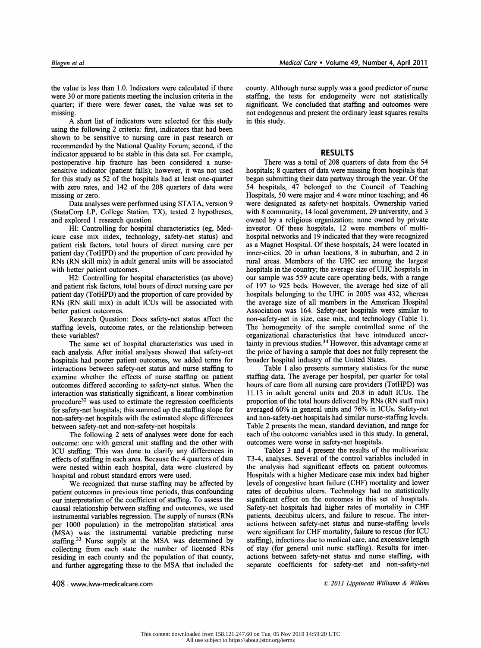the value is less than 1.0. Indicators were calculated if there were 30 or more patients meeting the inclusion criteria in the quarter; if there were fewer cases, the value was set to missing.

 A short list of indicators were selected for this study using the following 2 criteria: first, indicators that had been shown to be sensitive to nursing care in past research or recommended by the National Quality Forum; second, if the indicator appeared to be stable in this data set. For example, postoperative hip fracture has been considered a nurse sensitive indicator (patient falls); however, it was not used for this study as 52 of the hospitals had at least one-quarter with zero rates, and 142 of the 208 quarters of data were missing or zero.

 Data analyses were performed using STATA, version 9 (StataCorp LP, College Station, TX), tested 2 hypotheses, and explored 1 research question.

 HI: Controlling for hospital characteristics (eg, Med icare case mix index, technology, safety-net status) and patient risk factors, total hours of direct nursing care per patient day (TotHPD) and the proportion of care provided by RNs (RN skill mix) in adult general units will be associated with better patient outcomes.

 H2: Controlling for hospital characteristics (as above) and patient risk factors, total hours of direct nursing care per patient day (TotHPD) and the proportion of care provided by RNs (RN skill mix) in adult ICUs will be associated with better patient outcomes.

 Research Question: Does safety-net status affect the staffing levels, outcome rates, or the relationship between these variables?

 The same set of hospital characteristics was used in each analysis. After initial analyses showed that safety-net hospitals had poorer patient outcomes, we added terms for interactions between safety-net status and nurse staffing to examine whether the effects of nurse staffing on patient outcomes differed according to safety-net status. When the interaction was statistically significant, a linear combination procedure $32$  was used to estimate the regression coefficients for safety-net hospitals; this summed up the staffing slope for non-safety-net hospitals with the estimated slope differences between safety-net and non-safety-net hospitals.

 The following 2 sets of analyses were done for each outcome: one with general unit staffing and the other with ICU staffing. This was done to clarify any differences in effects of staffing in each area. Because the 4 quarters of data were nested within each hospital, data were clustered by hospital and robust standard errors were used.

 We recognized that nurse staffing may be affected by patient outcomes in previous time periods, thus confounding our interpretation of the coefficient of staffing. To assess the causal relationship between staffing and outcomes, we used instrumental variables regression. The supply of nurses (RNs per 1000 population) in the metropolitan statistical area (MSA) was the instrumental variable predicting nurse staffing.<sup>33</sup> Nurse supply at the MSA was determined by collecting from each state the number of licensed RNs residing in each county and the population of that county, and further aggregating these to the MSA that included the  county. Although nurse supply was a good predictor of nurse staffing, the tests for endogeneity were not statistically significant. We concluded that staffing and outcomes were not endogenous and present the ordinary least squares results in this study.

#### RESULTS

 There was a total of 208 quarters of data from the 54 hospitals; 8 quarters of data were missing from hospitals that began submitting their data partway through the year. Of the 54 hospitals, 47 belonged to the Council of Teaching Hospitals, 50 were major and 4 were minor teaching; and 46 were designated as safety-net hospitals. Ownership varied with 8 community, 14 local government, 29 university, and 3 owned by a religious organization; none owned by private investor. Of these hospitals, 12 were members of multi hospital networks and 19 indicated that they were recognized as a Magnet Hospital. Of these hospitals, 24 were located in inner-cities, 20 in urban locations, 8 in suburban, and 2 in rural areas. Members of the UHC are among the largest hospitals in the country; the average size of UHC hospitals in our sample was 559 acute care operating beds, with a range of 197 to 925 beds. However, the average bed size of all hospitals belonging to the UHC in 2005 was 432, whereas the average size of all members in the American Hospital Association was 164. Safety-net hospitals were similar to non-safety-net in size, case mix, and technology (Table 1). The homogeneity of the sample controlled some of the organizational characteristics that have introduced uncer tainty in previous studies.<sup>34</sup> However, this advantage came at the price of having a sample that does not fully represent the broader hospital industry of the United States.

 Table 1 also presents summary statistics for the nurse staffing data. The average per hospital, per quarter for total hours of care from all nursing care providers (TotHPD) was 11.13 in adult general units and 20.8 in adult ICUs. The proportion of the total hours delivered by RNs (RN staff mix) averaged 60% in general units and 76% in ICUs. Safety-net and non-safety-net hospitals had similar nurse-staffing levels. Table 2 presents the mean, standard deviation, and range for each of the outcome variables used in this study. In general, outcomes were worse in safety-net hospitals.

 Tables 3 and 4 present the results of the multivariate T3-4, analyses. Several of the control variables included in the analysis had significant effects on patient outcomes. Hospitals with a higher Medicare case mix index had higher levels of congestive heart failure (CHF) mortality and lower rates of decubitus ulcers. Technology had no statistically significant effect on the outcomes in this set of hospitals. Safety-net hospitals had higher rates of mortality in CHF patients, decubitus ulcers, and failure to rescue. The inter actions between safety-net status and nurse-staffing levels were significant for CHF mortality, failure to rescue (for ICU staffing), infections due to medical care, and excessive length of stay (for general unit nurse staffing). Results for inter actions between safety-net status and nurse staffing, with separate coefficients for safety-net and non-safety-net

408 I www.lww-medicalcare.com © 2011 Lippincott Williams & Wilkins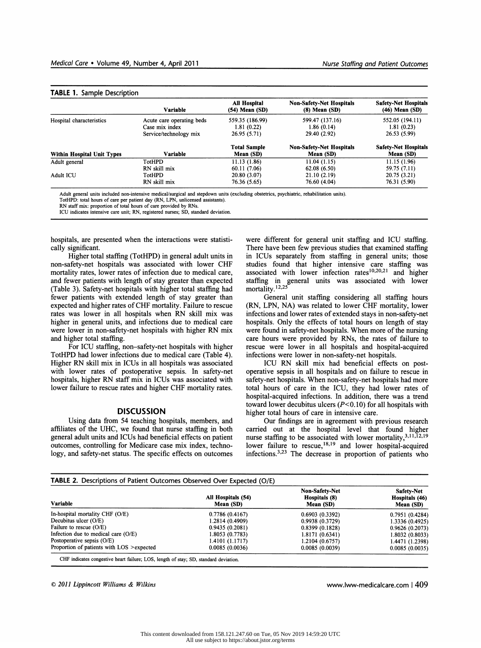# TABLE 1. Sample Description

|                            | Variable                  | <b>All Hospital</b><br>$(54)$ Mean $(SD)$ | <b>Non-Safety-Net Hospitals</b><br>$(8)$ Mean $(SD)$ | <b>Safety-Net Hospitals</b><br>$(46)$ Mean $(SD)$ |
|----------------------------|---------------------------|-------------------------------------------|------------------------------------------------------|---------------------------------------------------|
| Hospital characteristics   | Acute care operating beds | 559.35 (186.99)                           | 599.47 (137.16)                                      | 552.05 (194.11)                                   |
|                            | Case mix index            | 1.81 (0.22)                               | 1.86(0.14)                                           | 1.81(0.23)                                        |
|                            | Service/technology mix    | 26.95(5.71)                               | 29.40 (2.92)                                         | 26.53(5.99)                                       |
|                            |                           | <b>Total Sample</b>                       | <b>Non-Safety-Net Hospitals</b>                      | <b>Safety-Net Hospitals</b>                       |
| Within Hospital Unit Types | Variable                  | Mean (SD)                                 | Mean (SD)                                            | Mean (SD)                                         |
| Adult general              | TotHPD                    | 11.13(1.86)                               | 11.04(1.15)                                          | 11.15(1.96)                                       |
|                            | RN skill mix              | 60.11(7.06)                               | 62.08(6.50)                                          | 59.75 (7.11)                                      |
| Adult ICU                  | TotHPD                    | 20.80(3.07)                               | 21.10(2.19)                                          | 20.75 (3.21)                                      |
|                            | RN skill mix              | 76.36 (5.65)                              | 76.60 (4.04)                                         | 76.31 (5.90)                                      |

Adult general units included non-intensive medical/surgical and stepdown units (excluding obstetrics, psychiatric, rehabilitation units).

TotHPD: total hours of care per patient day (RN, LPN, unlicensed assistants).<br>RN staff mix: proportion of total hours of care provided by RNs.

ICU indicates intensive care unit; RN, registered nurses; SD, standard deviation.

hospitals, are presented when the interactions were statistically significant.<br>Higher total staffing (TotHPD) in general adult units in

and fewer patients with length of stay greater than expected staffing in general units was associated with lower<br>(Table 3). Safety-net hospitals with higher total staffing had mortality.<sup>12,25</sup> (Table 3). Safety-net hospitals with higher total staffing had fewer patients with extended length of stay greater than expected and higher rates of CHF mortality. Failure to rescue rates was lower in all hospitals when RN skill mix was were lower in non-safety-net hospitals with higher RN mix<br>and higher total staffing.<br>For ICU staffing, non-safety-net hospitals with higher

 TotHPD had lower infections due to medical care (Table 4). Higher RN skill mix in ICUs in all hospitals was associated with lower rates of postoperative sepsis. In safety-net

### **DISCUSSION**

 Using data from 54 teaching hospitals, members, and affiliates of the UHC, we found that nurse staffing in both general adult units and ICUs had beneficial effects on patient outcomes, controlling for Medicare case mix index, techno logy, and safety-net status. The specific effects on outcomes

hospitals, are presented when the interactions were statisti-<br>
Were different for general unit staffing and ICU staffing. Higher total staffing (TotHPD) in general adult units in in ICUs separately from staffing in general units; those non-safety-net hospitals was associated with lower CHF<br>non-safety-net hospitals was associated with lower CHF studies found that higher intensive care staffing was non-safety-net hospitals was associated with lower CHF studies found that higher intensive care staffing was<br>mortality rates, lower rates of infection due to medical care, associated with lower infection rates<sup>10,20,21</sup> an and fewer patients with length of stay greater than expected staffing in general units was associated with lower There have been few previous studies that examined staffing associated with lower infection rates<sup>10,20,21</sup> and higher  $\text{mor}$  mortality.

 rates was lower in all hospitals when RN skill mix was infections and lower rates of extended stays in non-safety-net higher in general units, and infections due to medical care hospitals. Only the effects of total hours on length of stay were lower in non-safety-net hospitals with higher RN mix were found in safety-net hospitals. When more of the nursing For ICU staffing, non-safety-net hospitals with higher rescue were lower in all hospitals and hospital-acquired General unit staffing considering all staffing hours (RN, LPN, NA) was related to lower CHF mortality, lower care hours were provided by RNs, the rates of failure to infections were lower in non-safety-net hospitals.

with lower rates of postoperative sepsis. In safety-net operative sepsis in all hospitals and on failure to rescue in<br>
with lower rates of postoperative sepsis. In safety-net operative sepsis in all hospitals and on failur hospitals, higher RN staff mix in ICUs was associated with safety-net hospitals. When non-safety-net hospitals had more lower failure to rescue rates and higher CHF mortality rates. total hours of care in the ICU, they had lower rates of ICU RN skill mix had beneficial effects on post hospital-acquired infections. In addition, there was a trend toward lower decubitus ulcers  $(P<0.10)$  for all hospitals with higher total hours of care in intensive care.

> Our findings are in agreement with previous research carried out at the hospital level that found higher nurse staffing to be associated with lower mortality,  $3,11,12,19$ lower failure to rescue,  $18.19$  and lower hospital-acquired infections.3'23 The decrease in proportion of patients who

| Variable                                   | All Hospitals (54)<br>Mean (SD) | <b>Non-Safety-Net</b><br>Hospitals (8)<br>Mean (SD) | Safety-Net<br>Hospitals (46)<br>Mean (SD) |
|--------------------------------------------|---------------------------------|-----------------------------------------------------|-------------------------------------------|
| In-hospital mortality CHF (O/E)            | 0.7786(0.4167)                  | 0.6903(0.3392)                                      | 0.7951(0.4284)                            |
| Decubitus ulcer $(O/E)$                    | 1.2814 (0.4909)                 | 0.9938(0.3729)                                      | 1.3336 (0.4925)                           |
| Failure to rescue $(O/E)$                  | 0.9435(0.2081)                  | 0.8399(0.1828)                                      | 0.9626(0.2073)                            |
| Infection due to medical care $(O/E)$      | 1.8053 (0.7783)                 | 1.8171 (0.6341)                                     | 1.8032 (0.8033)                           |
| Postoperative sepsis $(O/E)$               | 1.4101 (1.1717)                 | 1.2104 (0.6757)                                     | 1.4471 (1.2398)                           |
| Proportion of patients with LOS > expected | 0.0085(0.0036)                  | 0.0085(0.0039)                                      | 0.0085(0.0035)                            |

© 2011 Lippincott Williams & Wilkins www. lww-medicalcare.com I 409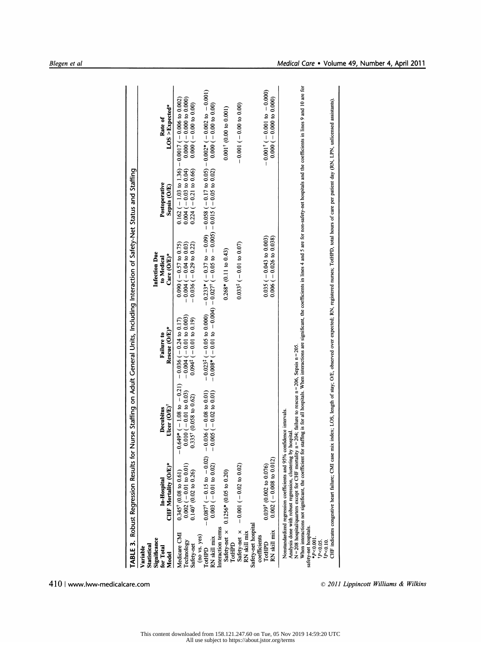| Variable                                                            |                                                                                                                                                                                                                                                                                                                                       |                                                                                                   |                                                                                                | TABLE 3. Robust Regression Results for Nurse Staffing on Adult General Units, Including Interaction of Safety-Net Status and Staffing                                                                             |                                                                      |                                                                                                                                                                                 |
|---------------------------------------------------------------------|---------------------------------------------------------------------------------------------------------------------------------------------------------------------------------------------------------------------------------------------------------------------------------------------------------------------------------------|---------------------------------------------------------------------------------------------------|------------------------------------------------------------------------------------------------|-------------------------------------------------------------------------------------------------------------------------------------------------------------------------------------------------------------------|----------------------------------------------------------------------|---------------------------------------------------------------------------------------------------------------------------------------------------------------------------------|
| Significance<br>Statistical<br>for Total<br>Model                   | CHF Mortality (O/E)*<br>In-Hospital                                                                                                                                                                                                                                                                                                   | $O(E)^{t}$<br>Decubitus<br>Ulcer <sup>(</sup>                                                     | Rescue (O/E)*<br><b>Failure to</b>                                                             | <b>Infection Due</b><br>$Care$ (O/E)*<br>to Medical                                                                                                                                                               | Postoperative<br>Sepsis (O/E)                                        | $LOS > Expected*$<br>Rate of                                                                                                                                                    |
| Medicare CMI<br>Technology<br>Safety-net                            | $\begin{array}{c} 0.002 ~ (- \, 0.01 \; \mathrm{to} \; 0.01) \\ 0.140^\dagger \; (0.02 \; \mathrm{to} \; 0.26) \end{array}$<br>$0.345^{\dagger}$ (0.08 to 0.61)                                                                                                                                                                       | $-0.649* (-1.08 \text{ to } -0.21)$<br>0.010 (-0.01 to 0.03)<br>$0.335^{\dagger}$ (0.058 to 0.62) | $-0.004 (-0.01 to 0.003)$<br>$0.094$ <sup>‡</sup> (-0.01 to 0.19)<br>$-0.036(-0.24\;$ to 0.17) | $-0.036(-0.29$ to $0.22)$<br>$-0.004(-0.04 to 0.03)$<br>$0.090 (-0.57 to 0.75)$                                                                                                                                   | $0.004 (-0.03 \text{ to } 0.04)$<br>$0.224 (-0.21 \text{ to } 0.66)$ | $\begin{array}{c} 0.000 \ (-0.000 \ \mathrm{to} \ 0.000) \ 0.000 \ (-0.00 \ \mathrm{to} \ 0.00) \end{array}$<br>$0.162$ ( $-1.03$ to $1.36$ ) $-0.0017$ ( $-0.006$ to $0.002$ ) |
| (no vs. yes)<br>RN skill mix<br>TotHPD                              | $-0.087^{\dagger}$ ( $-0.15$ to $-0.02$ ) $-0.036$ ( $-0.08$ to 0.01)<br>0.003 ( $-0.01$ to 0.02) $-0.005$ ( $-0.02$ to 0.01)<br>$0.003 (-0.01 to 0.02)$                                                                                                                                                                              |                                                                                                   |                                                                                                | (10001 - 120001 - 140001 - 120001 - 120001 - 130001 - 130001 - 130001 - 130001 - 130001 - 130001 - 1<br>$-0.008*$ ( $-0.01$ to $-0.004$ ) $-0.05$ to $-0.005$ ) $-0.015$ ( $-0.05$ to $0.02$ )                    |                                                                      | $0.000 (-0.00 to 0.00)$                                                                                                                                                         |
| Safety-net x<br>Interaction terms<br>TotHPD                         | $0.1256*$ (0.05 to 0.20)                                                                                                                                                                                                                                                                                                              |                                                                                                   |                                                                                                | $0.268*(0.11 to 0.43)$                                                                                                                                                                                            |                                                                      | $0.001$ <sup>†</sup> $(0.00 to 0.001)$                                                                                                                                          |
| Safety-net hospital<br>Safety-net x<br>RN skill mix<br>coefficients | $-0.001(-0.02 to 0.02)$                                                                                                                                                                                                                                                                                                               |                                                                                                   |                                                                                                | $0.033^{\frac{1}{3}}$ (-0.01 to 0.07)                                                                                                                                                                             |                                                                      | $-0.001(-0.00 to 0.00)$                                                                                                                                                         |
| RN skill mix<br>TotHPD                                              | $0.002 (-0.008 to 0.012)$<br>$0.039$ <sup>†</sup> $(0.002$ to $0.076)$                                                                                                                                                                                                                                                                |                                                                                                   |                                                                                                | $0.006 (-0.026 to 0.038)$<br>$0.035 (-0.043 to 0.003)$                                                                                                                                                            |                                                                      | $-0.001$ <sup>t</sup> ( $-0.001$ to $-0.000$ )<br>$0.000(-0.000 to 0.000)$                                                                                                      |
| safety-net hospitals.<br>$*_{P<0.001}$<br>†P<0.05.<br>#P<0.10       | $N = 208$ hospital/quarters except for CHF mortality $n = 204$ ; failure to rescue $n = 206$ , Sepsis $n = 205$ .<br>Nonstandardized regression coefficients and 95% confidence intervals.<br>When interactions not significant, the coefficient for staffing is for<br>Analysis done with robust regression, clustering by hospital. |                                                                                                   |                                                                                                | CHF indicates congestive heart failure; CMI case mix index; LOS, length of stay; OE, observed over expected; RN, registered nurses; TotHPD, total hours of care per patient day (RN, LPN, unlicensed assistants). |                                                                      | all hospitals. When interactions are significant, the coefficients in lines 4 and 5 are for non-safety-net hospitals and the coefficients in lines 9 and 10 are for             |
|                                                                     |                                                                                                                                                                                                                                                                                                                                       |                                                                                                   |                                                                                                |                                                                                                                                                                                                                   |                                                                      |                                                                                                                                                                                 |

Blegen et al

410 | www.lww-medicalcare.com

© 2011 Lippincott Williams & Wilkins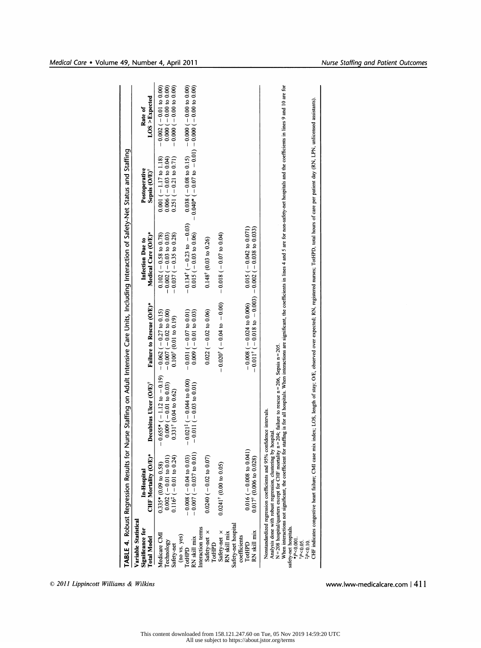|                                                                                 | TABLE 4. Robust Regression Results for Nurse Staffir                                                                                                                                                                                                                                |                                                                                                          | ng on Adult Intensive Care Units, Including Interaction of Safety-Net Status and Staffing                                                                                                                                                                                                                                                                                           |                                                                                       |                                                                                                    |                                                                                    |
|---------------------------------------------------------------------------------|-------------------------------------------------------------------------------------------------------------------------------------------------------------------------------------------------------------------------------------------------------------------------------------|----------------------------------------------------------------------------------------------------------|-------------------------------------------------------------------------------------------------------------------------------------------------------------------------------------------------------------------------------------------------------------------------------------------------------------------------------------------------------------------------------------|---------------------------------------------------------------------------------------|----------------------------------------------------------------------------------------------------|------------------------------------------------------------------------------------|
| Variable Statistical<br>Significance for<br><b>Total Model</b>                  | CHF Mortality (O/E)*<br>In-Hospital                                                                                                                                                                                                                                                 | Ulcer $(O/E)^{\dagger}$<br><b>Decubitus</b>                                                              | Failure to Rescue (O/E)*                                                                                                                                                                                                                                                                                                                                                            | Medical Care (O/E)*<br>Infection Due to                                               | Postoperative<br>Sepsis (O/E) <sup>†</sup>                                                         | LOS > Expected<br>Rate of                                                          |
| Medicare CMI<br>Technology<br>Safety-net                                        | $0.116\frac{1}{1}(-0.01 \text{ to } 0.24)$<br>$0.335*(0.09 to 0.58)$<br>$0.002(-0.01 to 0.01)$                                                                                                                                                                                      | 1.12 to $-0.19$ )<br>$(-0.01 to 0.03)$<br>$0.331^{\dagger}$ (0.04 to 0.62)<br>$-0.655$ * ( $-$<br>0.009( | $-0.062 (-0.27 \text{ to } 0.15)$<br>$-0.007 (-0.02 \text{ to } 0.00)$<br>$0.100^{\dagger}$ (0.01 to 0.19)                                                                                                                                                                                                                                                                          | $0.102 (-0.58 \text{ to } 0.78)$<br>-0.002 (-0.03 to 0.03)<br>$-0.037(-0.35$ to 0.28) | $0.001 (-1.17 to 1.18)$<br>$0.251(-0.21$ to $0.71)$<br>$0.006 (-0.03 to 0.04)$                     | $-0.000(-0.00 to 0.00)$<br>$-0.002 (-0.01$ to $0.00)$<br>$0.000 (-0.00$ to $0.00)$ |
| (no vs. yes)<br>RN skill mix<br>TotHPD                                          | $-0.007(-0.037$ to 0.01)<br>$-0.008(-0.04 to 0.03)$                                                                                                                                                                                                                                 | $0.044$ to $0.00$<br>$0.03$ to $0.01$ )<br>$-0.021$ <sup>‡</sup> (-<br>$-0.011(-$                        | $-0.031(-0.07$ to 0.01)<br>$0.009(-0.01 \text{ to } 0.03)$                                                                                                                                                                                                                                                                                                                          | $-0.134^{\dagger}$ ( $-0.23$ to $-0.03$ )<br>$0.015 (-0.03 to 0.06)$                  | $-0.040*$ ( $-0.07$ to $-0.01$ ) $-0.000$ ( $-0.00$ to $0.00$ )<br>$0.038(-0.08 \text{ to } 0.15)$ | $-0.000(-0.00 to 0.00)$                                                            |
| Interaction terms<br>Safety-net x<br>TotHPD                                     | $0.0240 (-0.02 to 0.07)$                                                                                                                                                                                                                                                            |                                                                                                          | $0.022 (-0.02 to 0.06)$                                                                                                                                                                                                                                                                                                                                                             | $0.148^{\dagger}$ (0.03 to 0.26)                                                      |                                                                                                    |                                                                                    |
| $\begin{array}{ll} \text{Safety-net} \times \\ \text{RN skill mix} \end{array}$ | $0.0241$ <sup>†</sup> (0.00 to 0.05)                                                                                                                                                                                                                                                |                                                                                                          | $-0.020$ <sup>†</sup> ( $-0.04$ to $-0.00$ )                                                                                                                                                                                                                                                                                                                                        | $-0.018(-0.07 t_0.04)$                                                                |                                                                                                    |                                                                                    |
| Safety-net hospital<br>RN skill mix<br>coefficients<br>TotHPD                   | $0.016 (-0.008 \text{ to } 0.041)$<br>$0.017$ <sup>†</sup> (0.006 to 0.028)                                                                                                                                                                                                         |                                                                                                          | $-0.011$ <sup>†</sup> (-0.018 to -0.003)<br>$-0.008(-0.024 to 0.006)$                                                                                                                                                                                                                                                                                                               | $0.015 (-0.042 to 0.071)$<br>$-0.002(-0.038$ to 0.033)                                |                                                                                                    |                                                                                    |
| safety-net hospitals.<br>$*_{P<0.001}$<br>P<0.05<br>$_{P<0.10}$                 | Nonstandardized regression coefficients and 95% confidence interval<br>$N = 208$ hospital/quarters except for CHF mortality $n = 204$ ; failure<br>CHF indicates congestive heart failure; CMI case mix index; LOS,<br>Analysis done with robust regression, clustering by hospital | to rescue $n = 206$ , Sepsis $n = 205$ .<br><u>ທ</u>                                                     | When interactions not significant, the coefficient for staffing is for all hospitals. When interactions are significant, the coefficients in lines 4 and 5 are for non-safety-net hospitals and the coefficients in lines 9 an<br>length of stay; O/E, observed over expected; RN, registered nurses; TotHPD, total hours of care per patient day (RN, LPN, unlicensed assistants). |                                                                                       |                                                                                                    |                                                                                    |
|                                                                                 |                                                                                                                                                                                                                                                                                     |                                                                                                          |                                                                                                                                                                                                                                                                                                                                                                                     |                                                                                       |                                                                                                    |                                                                                    |

© 2011 Lippincott Williams & Wilkins

www.lww-medicalcare.com | 411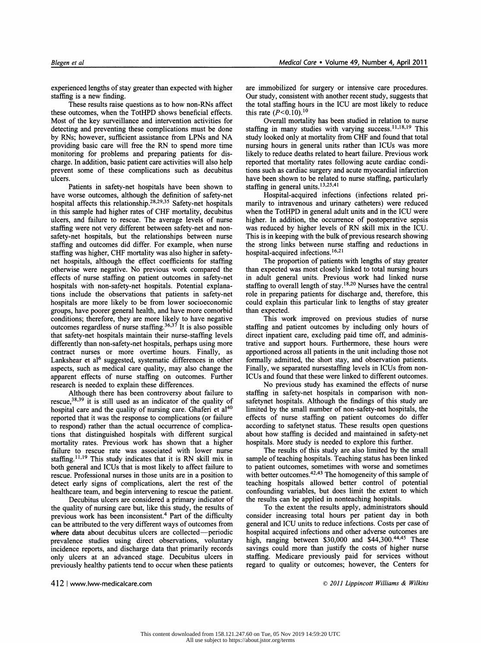experienced lengths of stay greater than expected with higher<br>staffing is a new finding.<br>These results raise questions as to how non-RNs affect

 these outcomes, when the TotHPD shows beneficial effects. Most of the key surveillance and intervention activities for detecting and preventing these complications must be done providing basic care will free the RN to spend more time<br>monitoring for problems and preparing patients for dis-<br>charge. In addition, basic patient care activities will also help prevent some of these complications such as decubitus ulcers.

 Patients in safety-net hospitals have been shown to have worse outcomes, although the definition of safety-net hospital affects this relationship.<sup>28,29,35</sup> Safety-net hospitals in this sample had higher rates of CHF mortality, decubitus nospital affects this relationship.<sup>20,29,35</sup> Safety-net hospitals marily to intravenous and urinary catheters) were reduced<br>in this sample had higher rates of CHF mortality, decubitus when the TotHPD in general adult unit ulcers, and failure to rescue. The average levels of nurse staffing were not very different between safety-net and nonutcers, and rature to rescue. The average tevels or nurse integral in addition, the occurrence or postoperative sepsis<br>staffing were not very different between safety-net and non-<br>safety net begrifted but the relationships staffing were not very different between safety-net and non-<br>safety-net hospitals, but the relationships between nurse This is in keeping with the bulk of previous research showing<br>staffing and outcomes did differ. For exa safety-net hospitals, but the relationships between nurse staffing and outcomes did differ. For example, when nurse staffing was higher, CHF mortality was also higher in safety net hospitals, although the effect coefficients for staffing net hospitals, although the effect coefficients for staffing<br>
otherwise were negative. No previous work compared the than expected was most closely linked to total nursing hours<br>
offects of nurse staffing on potient outcom otherwise were negative. No previous work compared the than expected was most closely linked to total nursing hours<br>effects of nurse staffing on patient outcomes in safety-net in adult general units. Previous work had link effects of nurse staffing on patient outcomes in safety-net<br>hospitals with non-safety-net hospitals. Potential explana-<br>tions include the charactions that potients in sefety net and properties priority for discharge and th hospitals with non-safety-net hospitals. Potential explana-<br>tions include the observations that patients in safety-net cole in preparing patients for discharge and, therefore, this<br>homitals are more likely to be from lower tions include the observations that patients in safety-net role in preparing patients for discharge and, therefore, this<br>hospitals are more likely to be from lower socioeconomic could explain this particular link to length hospitals are more likely to be from lower socioeconomic groups, have poorer general health, and have more comorbid conditions; therefore, they are more likely to have negative outcomes regardless of nurse staffing.<sup>36,37</sup> It is also possible that safety-net hospitals maintain their nurse-staffing levels aspects, such as medical care quality, may also change the apparent effects of nurse staffing on outcomes. Further research is needed to explain these differences.<br>Although there has been controversy about failure to

rescue,  $38,39$  it is still used as an indicator of the quality of hospital care and the quality of nursing care. Ghaferi et al<sup>40</sup> reported that it was the response to complications (or failure reported that it was the response to complications (or failure) in interest of nurse staffing on patient outcomes do differ<br>
reported that it was the response to complications (or failure) effects of nurse staffing on pati reported that it was the response to complications (or failure effects of nurse staring on patient outcomes do different<br>to respond) rather than the actual occurrence of complica-<br>tions that distinguished begained with dif to respond) rather than the actual occurrence of complica-<br>
tions that distinguished hospitals with different surgical about how staffing is decided and maintained in safety-net<br>
mortelity rates. Prayious work has shown th tions that distinguished hospitals with different surgical mortality rates. Previous work has shown that a higher failure to rescue rate was associated with lower nurse staffing.<sup>11,19</sup> This study indicates that it is RN skill mix in both general and ICUs that is most likely to affect failure to rescue. Professional nurses in those units are in a position to detect early signs of complications, alert the rest of the healthcare team, and begin intervening to rescue the patient.

 Decubitus ulcers are considered a primary indicator of the quality of nursing care but, like this study, the results of previous work has been inconsistent.4 Part of the difficulty can be attributed to the very different ways of outcomes from where data about decubitus ulcers are collected-periodic prevalence studies using direct observations, voluntary incidence reports, and discharge data that primarily records only ulcers at an advanced stage. Decubitus ulcers in previously healthy patients tend to occur when these patients

experienced lengths of stay greater than expected with higher are immobilized for surgery or intensive care procedures. g is a new finding.<br>These results raise questions as to how non-RNs affect the total staffing hours in the ICU are most likely to reduce<br>outcomes when the TotHPD shows hangfield offects this rate  $(P<0.10, 10, 10)$  Our study, consistent with another recent study, suggests that this rate  $(P<0.10)^{10}$ 

Most of the key surveillance and intervention activities for<br>detecting and preventing these complications must be done staffing in many studies with varying success.<sup>11,18,19</sup> This<br>hy PNa: having sufficient existence from detecting and preventing these complications must be done<br>by RNs; however, sufficient assistance from LPNs and NA study looked only at mortality from CHF and found that total<br>providing bosis over will free the BN to grand by RNs; however, sufficient assistance from LPNs and NA study looked only at mortality from CHF and found that total<br>providing basic care will free the RN to spend more time<br>manitoring for problems and proposing potients f monitoring for problems and preparing patients for dis-<br>
charge. In addition, basic patient care activities will also help<br>
reported that mortality rates following acute cardiac condi-<br>
reported that mortality rates follow charge. In addition, basic patient care activities will also help reported that mortality rates following acute cardiac condi-<br>prevent some of these complications such as decubitus ions such as cardiac surgery and acute my Overall mortality has been studied in relation to nurse likely to reduce deaths related to heart failure. Previous work have been shown to be related to nurse staffing, particularly staffing in general units. $13,25,41$ 

 Hospital-acquired infections (infections related pri marily to intravenous and urinary catheters) were reduced higher. In addition, the occurrence of postoperative sepsis the strong links between nurse staffing and reductions in hospital-acquired infections.<sup>16,21</sup>

 The proportion of patients with lengths of stay greater than expected.

outcomes regardless of nurse staring.<sup>30</sup>,<sup>30</sup> It is also possible<br>
that safety-net hospitals maintain their nurse-staffing levels<br>
direct inpatient care, excluding paid time off, and adminis-<br>
differently then non eafsty that safety-net hospitals maintain their nurse-starting levels<br>differently than non-safety-net hospitals, perhaps using more<br>contract, nurses, or more eventime, hours. Finally, es apportioned errors all potients in the uni differently than non-safety-net hospitals, perhaps using more<br>contract nurses or more overtime hours. Finally, as apportioned across all patients in the unit including those not<br>Lanksheet at al<sup>6</sup> suggested systematic diff contract nurses or more overtime hours. Finally, as apportioned across all patients in the unit including those not<br>Lankshear et al<sup>6</sup> suggested, systematic differences in other formally admitted, the short stay, and obser Lankshear et al<sup>o</sup> suggested, systematic differences in other<br>aspects, such as medical care quality, may also change the Finally, we separated nursestaffing levels in ICUs from non-<br>connect of the state of purse staffing o This work improved on previous studies of nurse staffing and patient outcomes by including only hours of ICUs and found that these were linked to different outcomes.

ch is needed to explain these differences.<br>Although there has been controversy about failure to staffing in safety-net hospitals in comparison with non-<br> $38.39$  it is still used as an indicator of the quality of septemet b No previous study has examined the effects of nurse safetynet hospitals. Although the findings of this study are limited by the small number of non-safety-net hospitals, the hospitals. More study is needed to explore this further.

 The results of this study are also limited by the small sample of teaching hospitals. Teaching status has been linked to patient outcomes, sometimes with worse and sometimes with better outcomes. $42,43$  The homogeneity of this sample of teaching hospitals allowed better control of potential confounding variables, but does limit the extent to which the results can be applied in nonteaching hospitals.

 To the extent the results apply, administrators should consider increasing total hours per patient day in both general and ICU units to reduce infections. Costs per case of hospital acquired infections and other adverse outcomes are high, ranging between  $$30,000$  and  $$44,300.^{44,45}$  These savings could more than justify the costs of higher nurse staffing. Medicare previously paid for services without regard to quality or outcomes; however, the Centers for

412 1 www.lww-medicalcare.com © 2011 Lippincott Williams & Wilkins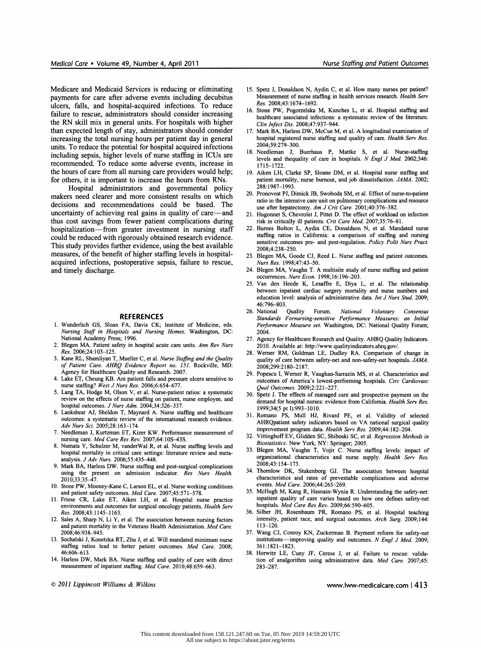Medicare and Medicaid Services is reducing or eliminating payments for care after adverse events including decubitus ulcers, falls, and hospital-acquired infections. To reduce failure to rescue, administrators should consider increasing the RN skill mix in general units. For hospitals with higher than expected length of stay, administrators should consider increasing the total nursing hours per patient day in general increasing the total nursing hours per patient day in general hospital registered nurse staffing and quality of care. Health Serv Res. units. To reduce the potential for hospital acquired infections including sepsis, higher levels of nurse staffing in ICUs are recommended. To reduce some adverse events, increase in the hours of care from all nursing care providers would help; the hours of care from all nursing care providers would help; 19. Aiken LH, Clarke SP, Sloane DM, et al. Hospital nurse staffing and for others, it is important to increase the hours from RNs.

 Hospital administrators and governmental policy makers need clearer and more consistent results on which decisions and recommendations could be based. The uncertainty of achieving real gains in quality of care—and thus cost savings from fewer patient complications during hospitalization-from greater investment in nursing staff could be reduced with rigorously obtained research evidence. This study provides further evidence, using the best available measures, of the benefit of higher staffing levels in hospital acquired infections, postoperative sepsis, failure to rescue, and timely discharge.

#### REFERENCES

- 1. Wunderlich GS, Sloan FA, Davis CK; Institute of Medicine, eds. Nursing Staff in Hospitals and Nursing Homes. Washington, DC: National Academy Press; 1996.
- 2. Biegen MA. Patient safety in hospital acute care units. Ann Rev Nurs Res. 2006;24: 103-125.
- 3. Kane RL, Shamliyan T, Mueller C, et al. Nurse Staffing and the Quality of Patient Care. AHRQ Evidence Report no. 151. Rockville, MD: Agency for Healthcare Quality and Research. 2007.
- 4. Lake ET, Cheung KB. Are patient falls and pressure ulcers sensitive to nurse staffing? West J Nurs Res. 2006;6:654-677.
- 5. Lang TA, Hodge M, Olson V, et al. Nurse-patient ratios: a systematic review on the effects of nurse staffing on patient, nurse employee, and hospital outcomes. J Nurs Adm. 2004;34:326-337.
- 6. Lankshear AJ, Sheldon T, Maynard A. Nurse staffing and healthcare outcomes: a systematic review of the international research evidence. Adv Nurs Sci. 2005;28: 163-174.
- 7. Needleman J, Kurtzman ET, Kizer KW. Performance measurement of nursing care. Med Care Res Rev. 2007;64:10S-43S.
- 8. Numata Y, Schulzer M, vanderWal R, et al. Nurse staffing levels and hospital mortality in critical care settings: literature review and meta analysis. J Adv Nurs. 2006;55:435-448.
- 9. Mark BA, Harless DW. Nurse staffing and post-surgical complications using the present on admission indicator. Res Nurs Health.<br>2010:33:35-47. 2010;33:35-47.
- 10. Stone PW, Mooney-Kane C, Larson EL, et al. Nurse working conditions and patient safety outcomes. Med Care. 2007;45:571-578.
- 11. Friese CR, Lake ET, Aiken LH, et al. Hospital nurse practice environments and outcomes for surgical oncology patients. Health Serv Res. 2008;43:l 145-1 163.
- 12. Sales A, Sharp N, Li Y, et al. The association between nursing factors and patient mortality in the Veterans Health Administration. Med Care. 2008;46:938-945.
- 13. Sochalski J, Konetzka RT, Zhu J, et al. Will mandated minimum nurse staffing ratios lead to better patient outcomes. Med Care. 2008; 46:606-613.
- 14. Harless DW, Mark BA. Nurse staffing and quality of care with direct measurement of inpatient staffing. Med Care. 2010;48:659-663.

© 2011 Lippincott Williams & Wilkins w/vw.lvwv-medicalcare.com I 413

- 15. Spetz J, Donaldson N, Aydin C, et al. How many nurses per patient? Measurement of nurse staffing in health services research. Health Serv Res. 2008;43: 1674-1692.
- 16. Stone PW, Pogorzelska M, Kunches L, et al. Hospital staffing and healthcare associated infections: a systematic review of the literature. Clin Infect Dis. 2008;47:937-944.
- 17. Mark BA, Harless DW, McCue M, et al. A longitudinal examination of 2004;39:279-300.
- 18. Needleman J, Buerhaus P, Mattke S, et al. Nurse-staffing levels and thequality of care in hospitals. N Engl J Med. 2002;346: 1715-1722.
- patient mortality, nurse burnout, and job dissatisfaction. JAMA. 2002; 288:1987-1993.
- 20. Pronovost PJ, Dimick JB, Swoboda SM, et al. Effect of nurse-to-patient ratio in the intensive care unit on pulmonary complications and resource use after hepatectomy. Am J Crit Care. 2001;40:376-382.
- 21. Hugonnet S, Chevrolet J, Pittet D. The effect of workload on infection risk in critically ill patients. Crit Care Med. 2007;35:76-81.
- 22. Burnes Bolton L, Aydin CE, Donaldson N, et al. Mandated nurse staffing ratios in California: a comparison of staffing and nursing sensitive outcomes pre- and post-regulation. Policy Polit Nurs Pract. 2008;4:238-250.
- 23. Biegen MA, Goode CJ, Reed L. Nurse staffing and patient outcomes. Nurs Res. 1998;47:43-50.
- 24. Biegen MA, Vaughn T. A multisite study of nurse staffing and patient occurrences. Nurs Econ. 1998; 16: 196-203.
- 25. Van den Heede K, Lesaffre E, Diya L, et al. The relationship between inpatient cardiac surgery mortality and nurse numbers and education level: analysis of administrative data. Int J Nurs Stud. 2009; 46:796-803.
- 26. National Quality Forum. National Voluntary Consensus Standards Fornursing-sensitive Performance Measures: an Initial Performance Measure set. Washington, DC: National Quality Forum; 2004.
- 27. Agency for Healthcare Research and Quality. AHRQ Quality Indicators. 2010. Available at: http://www.qualityindicators.ahrq.gov/.
- 28. Werner RM, Goldman LE, Dudley RA. Comparison of change in quality of care between safety-net and non-safety-net hospitals. JAMA. 2008;299:2 180-2 187.
- 29. Popescu I, Werner R, Vaughan-Sarrazin MS, et al. Characteristics and outcomes of America's lowest-performing hospitals. Circ Cardiovasc Qual Outcomes. 2009;2:22 1-227.
- 30. Spetz J. The effects of managed care and prospective payment on the demand for hospital nurses: evidence from California. Health Serv Res. 1999;34(5 pt l):993-1010.
- 31. Romano PS, Mull HJ, Rivard PE, et al. Validity of selected AHRQpatient safety indicators based on VA national surgical quality improvement program data. Health Serv Res. 2009;44: 182-204.
- 32. Vittinghoff EV, Glidden SC, Shiboski SC, et al. Regression Methods in Biostatistics. New York, NY: Springer; 2005.
- 33. Biegen MA, Vaughn T, Vojir C. Nurse staffing levels: impact of organizational characteristics and nurse supply. Health Serv Res. 2008;43:154-173.
- 34. Thornlow DK, Stukenborg GJ. The association between hospital characteristics and rates of preventable complications and adverse events. Med Care. 2006;44:265-269.
- 35. McHugh M, Kang R, Hasnain-Wynia R. Understanding the safety-net: inpatient quality of care varies based on how one defines safety-net hospitals. Med Care Res Rev. 2009;66:590-605.
- 36. Silber JH, Rosenbaum PR, Romano PS, et al. Hospital teaching intensity, patient race, and surgical outcomes. Arch Surg. 2009; 144: 113-120.
- 37. Wang CJ, Conroy KN, Zuckerman B. Payment reform for safety-net institutions—improving quality and outcomes. N Engl J Med. 2009; 361:1821-1823.
- 38. Horwitz LE, Cuny JF, Cerese J, et al. Failure to rescue: valida tion of analgorithm using administrative data. Med Care. 2007;45: 283-287.